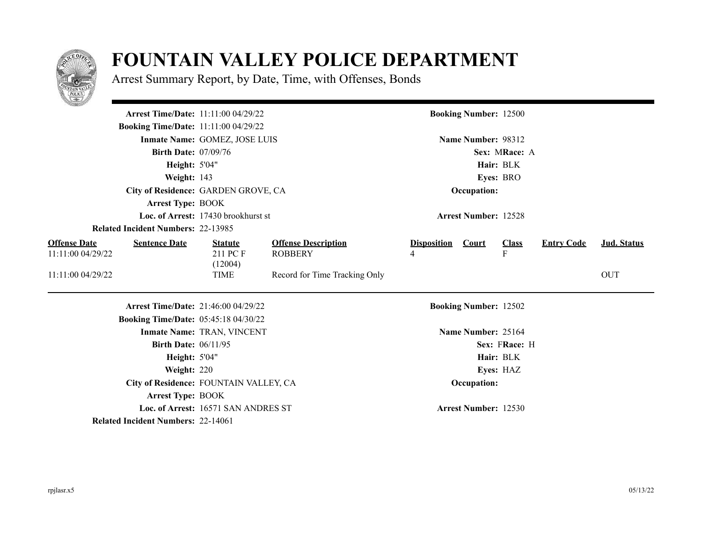

## **FOUNTAIN VALLEY POLICE DEPARTMENT**

Arrest Summary Report, by Date, Time, with Offenses, Bonds

| <u>e anno 1989.</u>                                              |                                            |                                              |                               |                              |                                |                   |                    |  |  |
|------------------------------------------------------------------|--------------------------------------------|----------------------------------------------|-------------------------------|------------------------------|--------------------------------|-------------------|--------------------|--|--|
|                                                                  | <b>Arrest Time/Date: 11:11:00 04/29/22</b> |                                              |                               | <b>Booking Number: 12500</b> |                                |                   |                    |  |  |
| <b>Booking Time/Date: 11:11:00 04/29/22</b>                      |                                            |                                              |                               |                              |                                |                   |                    |  |  |
|                                                                  | Inmate Name: GOMEZ, JOSE LUIS              |                                              | Name Number: 98312            |                              |                                |                   |                    |  |  |
| <b>Birth Date: 07/09/76</b>                                      |                                            |                                              | Sex: MRace: A                 |                              |                                |                   |                    |  |  |
| Height: 5'04"                                                    |                                            |                                              | Hair: BLK                     |                              |                                |                   |                    |  |  |
| Weight: 143                                                      |                                            |                                              | Eyes: BRO                     |                              |                                |                   |                    |  |  |
|                                                                  | City of Residence: GARDEN GROVE, CA        |                                              |                               | Occupation:                  |                                |                   |                    |  |  |
| <b>Arrest Type: BOOK</b>                                         |                                            |                                              |                               |                              |                                |                   |                    |  |  |
|                                                                  | Loc. of Arrest: 17430 brookhurst st        |                                              | <b>Arrest Number: 12528</b>   |                              |                                |                   |                    |  |  |
| <b>Related Incident Numbers: 22-13985</b>                        |                                            |                                              |                               |                              |                                |                   |                    |  |  |
| <b>Offense Date</b><br><b>Sentence Date</b><br>11:11:00 04/29/22 | <b>Statute</b><br>211 PC F<br>(12004)      | <b>Offense Description</b><br><b>ROBBERY</b> | <b>Disposition Court</b><br>4 |                              | <b>Class</b><br>$\overline{F}$ | <b>Entry Code</b> | <b>Jud. Status</b> |  |  |
| 11:11:00 04/29/22                                                | <b>TIME</b>                                | Record for Time Tracking Only                |                               |                              |                                |                   | <b>OUT</b>         |  |  |
|                                                                  | <b>Arrest Time/Date: 21:46:00 04/29/22</b> |                                              | <b>Booking Number: 12502</b>  |                              |                                |                   |                    |  |  |
| <b>Booking Time/Date: 05:45:18 04/30/22</b>                      |                                            |                                              |                               |                              |                                |                   |                    |  |  |
|                                                                  | <b>Inmate Name: TRAN, VINCENT</b>          |                                              |                               | Name Number: 25164           |                                |                   |                    |  |  |
| <b>Birth Date: 06/11/95</b>                                      |                                            |                                              |                               |                              | Sex: FRace: H                  |                   |                    |  |  |
| <b>Height: 5'04"</b>                                             |                                            |                                              |                               |                              | Hair: BLK                      |                   |                    |  |  |
| Weight: 220                                                      |                                            |                                              |                               |                              | Eyes: HAZ                      |                   |                    |  |  |
|                                                                  | City of Residence: FOUNTAIN VALLEY, CA     |                                              | Occupation:                   |                              |                                |                   |                    |  |  |
| <b>Arrest Type: BOOK</b>                                         |                                            |                                              |                               |                              |                                |                   |                    |  |  |
|                                                                  | Loc. of Arrest: 16571 SAN ANDRES ST        |                                              |                               | <b>Arrest Number: 12530</b>  |                                |                   |                    |  |  |
| <b>Related Incident Numbers: 22-14061</b>                        |                                            |                                              |                               |                              |                                |                   |                    |  |  |

 $\overline{\phantom{a}}$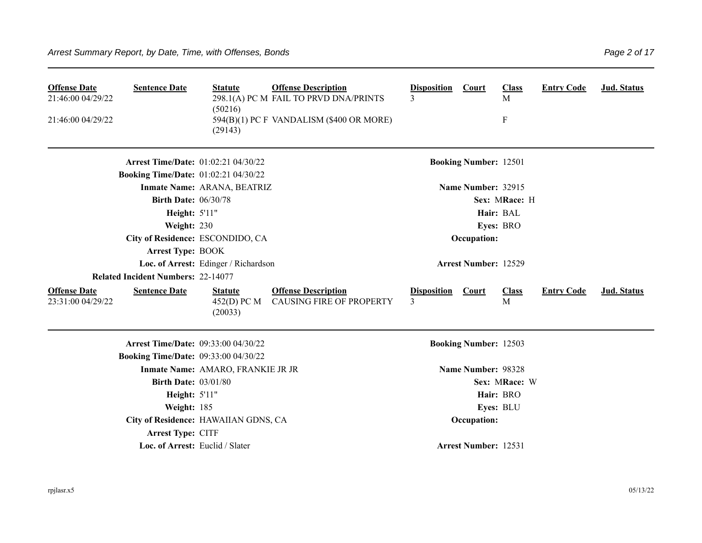| <b>Offense Date</b><br>21:46:00 04/29/22<br>21:46:00 04/29/22 | <b>Sentence Date</b>                        | <b>Statute</b><br>(50216)<br>(29143)     | <b>Offense Description</b><br>298.1(A) PC M FAIL TO PRVD DNA/PRINTS<br>594(B)(1) PC F VANDALISM (\$400 OR MORE) | <b>Disposition</b><br>3 | <b>Court</b>                 | <b>Class</b><br>M<br>${\bf F}$ | <b>Entry Code</b> | Jud. Status |
|---------------------------------------------------------------|---------------------------------------------|------------------------------------------|-----------------------------------------------------------------------------------------------------------------|-------------------------|------------------------------|--------------------------------|-------------------|-------------|
|                                                               | <b>Arrest Time/Date: 01:02:21 04/30/22</b>  |                                          |                                                                                                                 |                         | <b>Booking Number: 12501</b> |                                |                   |             |
|                                                               | <b>Booking Time/Date: 01:02:21 04/30/22</b> |                                          |                                                                                                                 |                         |                              |                                |                   |             |
|                                                               |                                             | Inmate Name: ARANA, BEATRIZ              |                                                                                                                 |                         | Name Number: 32915           |                                |                   |             |
|                                                               | <b>Birth Date: 06/30/78</b>                 |                                          |                                                                                                                 |                         |                              | Sex: MRace: H                  |                   |             |
|                                                               | Height: 5'11"                               |                                          |                                                                                                                 |                         |                              | Hair: BAL                      |                   |             |
|                                                               | Weight: 230                                 |                                          |                                                                                                                 |                         |                              | Eyes: BRO                      |                   |             |
|                                                               |                                             | City of Residence: ESCONDIDO, CA         |                                                                                                                 |                         | Occupation:                  |                                |                   |             |
|                                                               | <b>Arrest Type: BOOK</b>                    |                                          |                                                                                                                 |                         |                              |                                |                   |             |
|                                                               |                                             | Loc. of Arrest: Edinger / Richardson     |                                                                                                                 |                         | <b>Arrest Number: 12529</b>  |                                |                   |             |
|                                                               | <b>Related Incident Numbers: 22-14077</b>   |                                          |                                                                                                                 |                         |                              |                                |                   |             |
| <b>Offense Date</b><br>23:31:00 04/29/22                      | <b>Sentence Date</b>                        | <b>Statute</b><br>452(D) PC M<br>(20033) | <b>Offense Description</b><br><b>CAUSING FIRE OF PROPERTY</b>                                                   | <b>Disposition</b><br>3 | Court                        | <b>Class</b><br>M              | <b>Entry Code</b> | Jud. Status |
|                                                               | <b>Arrest Time/Date: 09:33:00 04/30/22</b>  |                                          |                                                                                                                 |                         | <b>Booking Number: 12503</b> |                                |                   |             |
|                                                               | <b>Booking Time/Date: 09:33:00 04/30/22</b> |                                          |                                                                                                                 |                         |                              |                                |                   |             |
|                                                               |                                             | Inmate Name: AMARO, FRANKIE JR JR        |                                                                                                                 |                         | Name Number: 98328           |                                |                   |             |
|                                                               | <b>Birth Date: 03/01/80</b>                 |                                          |                                                                                                                 |                         |                              | Sex: MRace: W                  |                   |             |
|                                                               | Height: 5'11"                               |                                          |                                                                                                                 |                         |                              | Hair: BRO                      |                   |             |
|                                                               | Weight: 185                                 |                                          |                                                                                                                 |                         |                              | Eyes: BLU                      |                   |             |
|                                                               |                                             | City of Residence: HAWAIIAN GDNS, CA     |                                                                                                                 |                         | Occupation:                  |                                |                   |             |
|                                                               | <b>Arrest Type: CITF</b>                    |                                          |                                                                                                                 |                         |                              |                                |                   |             |
|                                                               | Loc. of Arrest: Euclid / Slater             |                                          |                                                                                                                 |                         | <b>Arrest Number: 12531</b>  |                                |                   |             |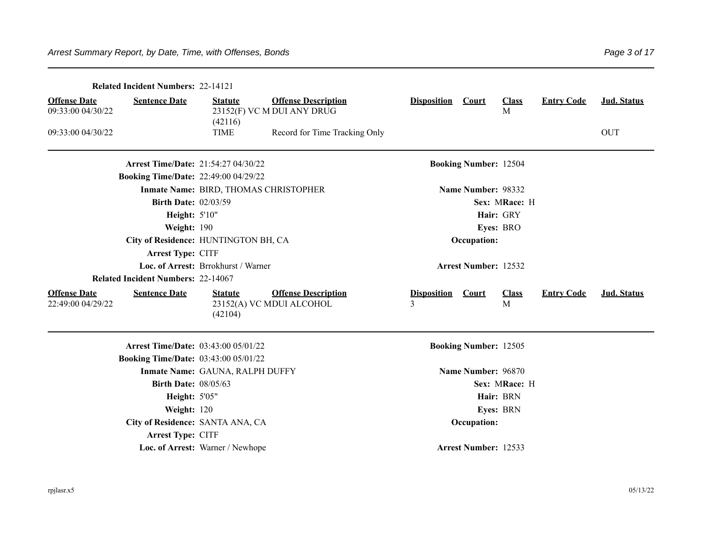| <b>Related Incident Numbers: 22-14121</b>                        |                                                                                     |                                                                                   |             |
|------------------------------------------------------------------|-------------------------------------------------------------------------------------|-----------------------------------------------------------------------------------|-------------|
| <b>Offense Date</b><br><b>Sentence Date</b>                      | <b>Offense Description</b><br><b>Statute</b>                                        | <b>Disposition</b><br><b>Entry Code</b><br>Court<br><b>Class</b><br>M             | Jud. Status |
| 09:33:00 04/30/22                                                | 23152(F) VC M DUI ANY DRUG<br>(42116)                                               |                                                                                   |             |
| 09:33:00 04/30/22                                                | <b>TIME</b><br>Record for Time Tracking Only                                        |                                                                                   | <b>OUT</b>  |
|                                                                  | <b>Arrest Time/Date: 21:54:27 04/30/22</b>                                          | <b>Booking Number: 12504</b>                                                      |             |
| <b>Booking Time/Date: 22:49:00 04/29/22</b>                      |                                                                                     |                                                                                   |             |
|                                                                  | Inmate Name: BIRD, THOMAS CHRISTOPHER                                               | Name Number: 98332                                                                |             |
|                                                                  | <b>Birth Date: 02/03/59</b>                                                         | Sex: MRace: H                                                                     |             |
|                                                                  | Height: 5'10"                                                                       | Hair: GRY                                                                         |             |
| Weight: 190                                                      |                                                                                     | Eyes: BRO                                                                         |             |
|                                                                  | City of Residence: HUNTINGTON BH, CA                                                | Occupation:                                                                       |             |
| Arrest Type: CITF                                                |                                                                                     |                                                                                   |             |
|                                                                  | Loc. of Arrest: Brrokhurst / Warner                                                 | <b>Arrest Number: 12532</b>                                                       |             |
| <b>Related Incident Numbers: 22-14067</b>                        |                                                                                     |                                                                                   |             |
| <b>Offense Date</b><br><b>Sentence Date</b><br>22:49:00 04/29/22 | <b>Offense Description</b><br><b>Statute</b><br>23152(A) VC MDUI ALCOHOL<br>(42104) | <b>Disposition</b><br><b>Entry Code</b><br><b>Court</b><br><b>Class</b><br>3<br>M | Jud. Status |
|                                                                  | Arrest Time/Date: 03:43:00 05/01/22                                                 | <b>Booking Number: 12505</b>                                                      |             |
| <b>Booking Time/Date: 03:43:00 05/01/22</b>                      |                                                                                     |                                                                                   |             |
|                                                                  | Inmate Name: GAUNA, RALPH DUFFY                                                     | Name Number: 96870                                                                |             |
|                                                                  | <b>Birth Date: 08/05/63</b>                                                         | Sex: MRace: H                                                                     |             |
|                                                                  | Height: 5'05"                                                                       | Hair: BRN                                                                         |             |
| Weight: 120                                                      |                                                                                     | Eyes: BRN                                                                         |             |
|                                                                  | City of Residence: SANTA ANA, CA                                                    | Occupation:                                                                       |             |
| Arrest Type: CITF                                                |                                                                                     |                                                                                   |             |
|                                                                  | Loc. of Arrest: Warner / Newhope                                                    | <b>Arrest Number: 12533</b>                                                       |             |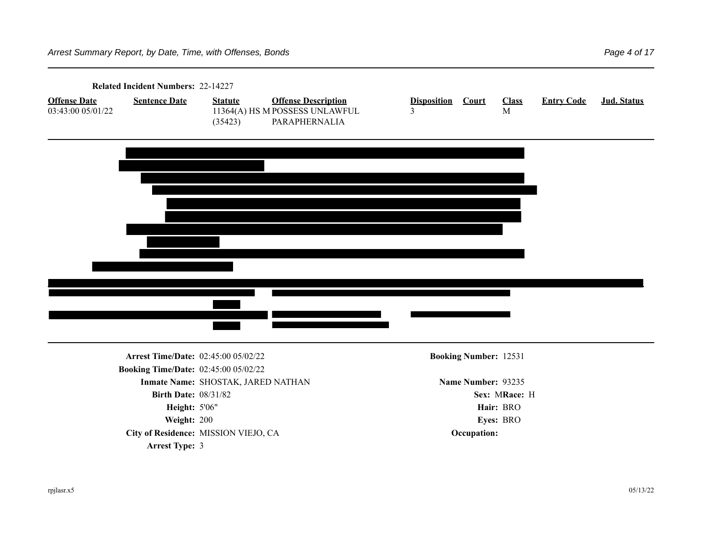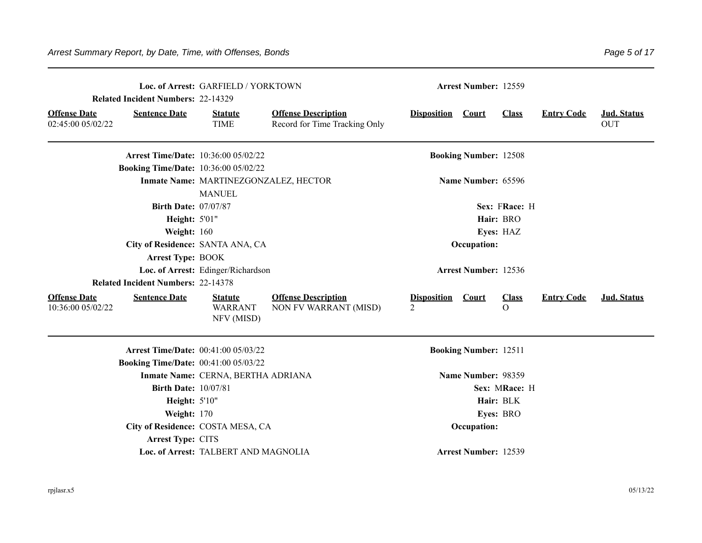|                                          | <b>Related Incident Numbers: 22-14329</b>   | Loc. of Arrest: GARFIELD / YORKTOWN     |                                                             | <b>Arrest Number: 12559</b>   |                              |                          |                   |                           |
|------------------------------------------|---------------------------------------------|-----------------------------------------|-------------------------------------------------------------|-------------------------------|------------------------------|--------------------------|-------------------|---------------------------|
| <b>Offense Date</b><br>02:45:00 05/02/22 | <b>Sentence Date</b>                        | <b>Statute</b><br><b>TIME</b>           | <b>Offense Description</b><br>Record for Time Tracking Only | <b>Disposition</b>            | Court                        | <b>Class</b>             | <b>Entry Code</b> | Jud. Status<br><b>OUT</b> |
|                                          | <b>Arrest Time/Date: 10:36:00 05/02/22</b>  |                                         |                                                             |                               | <b>Booking Number: 12508</b> |                          |                   |                           |
|                                          | <b>Booking Time/Date: 10:36:00 05/02/22</b> |                                         |                                                             |                               |                              |                          |                   |                           |
|                                          |                                             | Inmate Name: MARTINEZGONZALEZ, HECTOR   |                                                             |                               | Name Number: 65596           |                          |                   |                           |
|                                          |                                             | <b>MANUEL</b>                           |                                                             |                               |                              |                          |                   |                           |
|                                          | <b>Birth Date: 07/07/87</b>                 |                                         |                                                             |                               |                              | Sex: FRace: H            |                   |                           |
|                                          | Height: 5'01"                               |                                         |                                                             |                               |                              | Hair: BRO                |                   |                           |
|                                          | Weight: 160                                 |                                         |                                                             |                               |                              | Eyes: HAZ                |                   |                           |
| City of Residence: SANTA ANA, CA         |                                             |                                         |                                                             |                               | Occupation:                  |                          |                   |                           |
|                                          | <b>Arrest Type: BOOK</b>                    |                                         |                                                             |                               |                              |                          |                   |                           |
|                                          |                                             | Loc. of Arrest: Edinger/Richardson      |                                                             |                               | Arrest Number: 12536         |                          |                   |                           |
|                                          | <b>Related Incident Numbers: 22-14378</b>   |                                         |                                                             |                               |                              |                          |                   |                           |
| <b>Offense Date</b><br>10:36:00 05/02/22 | <b>Sentence Date</b>                        | <b>Statute</b><br>WARRANT<br>NFV (MISD) | <b>Offense Description</b><br>NON FV WARRANT (MISD)         | <b>Disposition Court</b><br>2 |                              | <b>Class</b><br>$\Omega$ | <b>Entry Code</b> | Jud. Status               |
|                                          | <b>Arrest Time/Date: 00:41:00 05/03/22</b>  |                                         |                                                             |                               | <b>Booking Number: 12511</b> |                          |                   |                           |
|                                          | <b>Booking Time/Date: 00:41:00 05/03/22</b> |                                         |                                                             |                               |                              |                          |                   |                           |
|                                          |                                             | Inmate Name: CERNA, BERTHA ADRIANA      |                                                             |                               | Name Number: 98359           |                          |                   |                           |
|                                          | <b>Birth Date: 10/07/81</b>                 |                                         |                                                             |                               |                              | Sex: MRace: H            |                   |                           |
|                                          | Height: 5'10"                               |                                         |                                                             |                               |                              | Hair: BLK                |                   |                           |
|                                          | Weight: 170                                 |                                         |                                                             |                               |                              | Eyes: BRO                |                   |                           |
|                                          | City of Residence: COSTA MESA, CA           |                                         |                                                             |                               | Occupation:                  |                          |                   |                           |
|                                          | Arrest Type: CITS                           |                                         |                                                             |                               |                              |                          |                   |                           |
|                                          |                                             | Loc. of Arrest: TALBERT AND MAGNOLIA    |                                                             |                               | <b>Arrest Number: 12539</b>  |                          |                   |                           |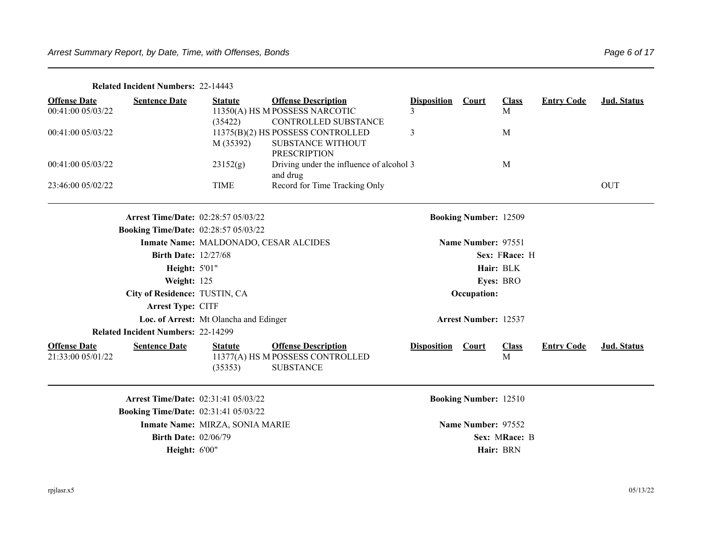| <b>Related Incident Numbers: 22-14443</b> |  |
|-------------------------------------------|--|
|-------------------------------------------|--|

| <b>Offense Date</b><br>00:41:00 05/03/22 | <b>Sentence Date</b>                        | <b>Statute</b><br>(35422)              | <b>Offense Description</b><br>11350(A) HS M POSSESS NARCOTIC<br>CONTROLLED SUBSTANCE | <b>Disposition</b> | <b>Court</b>                 | <b>Class</b><br>M | <b>Entry Code</b> | Jud. Status |
|------------------------------------------|---------------------------------------------|----------------------------------------|--------------------------------------------------------------------------------------|--------------------|------------------------------|-------------------|-------------------|-------------|
| 00:41:00 05/03/22                        |                                             | M (35392)                              | 11375(B)(2) HS POSSESS CONTROLLED<br>SUBSTANCE WITHOUT<br><b>PRESCRIPTION</b>        | 3                  |                              | M                 |                   |             |
| 00:41:00 05/03/22                        |                                             | 23152(g)                               | Driving under the influence of alcohol 3<br>and drug                                 |                    |                              | M                 |                   |             |
| 23:46:00 05/02/22                        |                                             | <b>TIME</b>                            | Record for Time Tracking Only                                                        |                    |                              |                   |                   | <b>OUT</b>  |
|                                          | <b>Arrest Time/Date: 02:28:57 05/03/22</b>  |                                        |                                                                                      |                    | <b>Booking Number: 12509</b> |                   |                   |             |
|                                          | <b>Booking Time/Date: 02:28:57 05/03/22</b> |                                        |                                                                                      |                    |                              |                   |                   |             |
|                                          |                                             | Inmate Name: MALDONADO, CESAR ALCIDES  |                                                                                      |                    | Name Number: 97551           |                   |                   |             |
|                                          | <b>Birth Date: 12/27/68</b>                 |                                        |                                                                                      |                    |                              | Sex: FRace: H     |                   |             |
|                                          | <b>Height: 5'01"</b>                        |                                        |                                                                                      |                    |                              | Hair: BLK         |                   |             |
|                                          | Weight: 125                                 |                                        |                                                                                      |                    |                              | Eyes: BRO         |                   |             |
|                                          | City of Residence: TUSTIN, CA               |                                        |                                                                                      |                    | Occupation:                  |                   |                   |             |
|                                          | Arrest Type: CITF                           |                                        |                                                                                      |                    |                              |                   |                   |             |
|                                          |                                             | Loc. of Arrest: Mt Olancha and Edinger |                                                                                      |                    | <b>Arrest Number: 12537</b>  |                   |                   |             |
|                                          | <b>Related Incident Numbers: 22-14299</b>   |                                        |                                                                                      |                    |                              |                   |                   |             |
| <b>Offense Date</b><br>21:33:00 05/01/22 | <b>Sentence Date</b>                        | <b>Statute</b><br>(35353)              | <b>Offense Description</b><br>11377(A) HS M POSSESS CONTROLLED<br><b>SUBSTANCE</b>   | <b>Disposition</b> | <b>Court</b>                 | <b>Class</b><br>M | <b>Entry Code</b> | Jud. Status |
|                                          | <b>Arrest Time/Date: 02:31:41 05/03/22</b>  |                                        |                                                                                      |                    | <b>Booking Number: 12510</b> |                   |                   |             |
|                                          | <b>Booking Time/Date: 02:31:41 05/03/22</b> |                                        |                                                                                      |                    |                              |                   |                   |             |
|                                          |                                             | Inmate Name: MIRZA, SONIA MARIE        |                                                                                      |                    | Name Number: 97552           |                   |                   |             |
|                                          | <b>Birth Date: 02/06/79</b>                 |                                        |                                                                                      |                    |                              | Sex: MRace: B     |                   |             |
|                                          | <b>Height: 6'00"</b>                        |                                        |                                                                                      |                    |                              | Hair: BRN         |                   |             |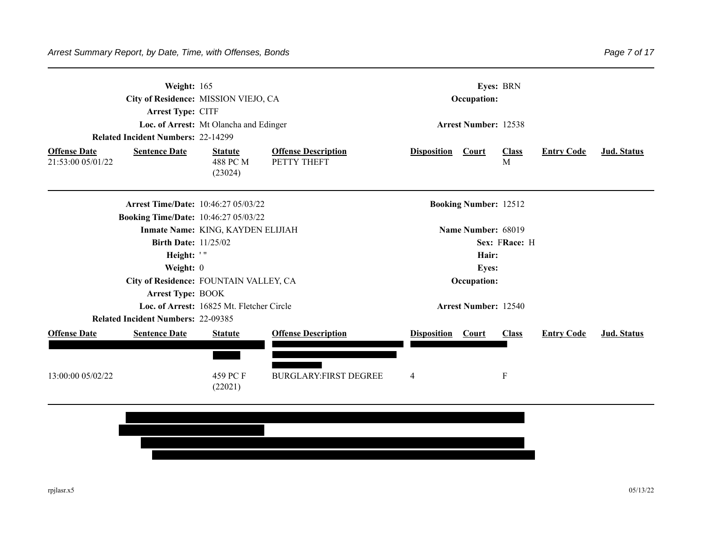| Weight: 165<br>City of Residence: MISSION VIEJO, CA<br>Arrest Type: CITF<br>Loc. of Arrest: Mt Olancha and Edinger |                                                                                           |                                           | <b>Eyes: BRN</b><br>Occupation:<br><b>Arrest Number: 12538</b> |                              |                   |                   |             |  |
|--------------------------------------------------------------------------------------------------------------------|-------------------------------------------------------------------------------------------|-------------------------------------------|----------------------------------------------------------------|------------------------------|-------------------|-------------------|-------------|--|
| <b>Related Incident Numbers: 22-14299</b><br><b>Sentence Date</b><br><b>Offense Date</b><br>21:53:00 05/01/22      | <b>Statute</b><br>488 PC M<br>(23024)                                                     | <b>Offense Description</b><br>PETTY THEFT | <b>Disposition</b>                                             | Court                        | <b>Class</b><br>M | <b>Entry Code</b> | Jud. Status |  |
|                                                                                                                    | <b>Arrest Time/Date: 10:46:27 05/03/22</b><br><b>Booking Time/Date: 10:46:27 05/03/22</b> |                                           |                                                                | <b>Booking Number: 12512</b> |                   |                   |             |  |
|                                                                                                                    | Inmate Name: KING, KAYDEN ELIJIAH                                                         |                                           |                                                                | Name Number: 68019           |                   |                   |             |  |
|                                                                                                                    | <b>Birth Date: 11/25/02</b>                                                               |                                           |                                                                |                              |                   |                   |             |  |
|                                                                                                                    | Height: '"                                                                                |                                           |                                                                | Hair:                        |                   |                   |             |  |
| Weight: 0                                                                                                          |                                                                                           |                                           |                                                                | <b>Eyes:</b>                 |                   |                   |             |  |
|                                                                                                                    | City of Residence: FOUNTAIN VALLEY, CA                                                    |                                           |                                                                | Occupation:                  |                   |                   |             |  |
|                                                                                                                    | <b>Arrest Type: BOOK</b>                                                                  |                                           |                                                                |                              |                   |                   |             |  |
|                                                                                                                    | Loc. of Arrest: 16825 Mt. Fletcher Circle                                                 |                                           |                                                                | <b>Arrest Number: 12540</b>  |                   |                   |             |  |
| <b>Related Incident Numbers: 22-09385</b>                                                                          |                                                                                           |                                           |                                                                |                              |                   |                   |             |  |
| <b>Offense Date</b><br><b>Sentence Date</b>                                                                        | <b>Statute</b>                                                                            | <b>Offense Description</b>                | <b>Disposition</b>                                             | Court                        | <b>Class</b>      | <b>Entry Code</b> | Jud. Status |  |

BURGLARY:FIRST DEGREE 4 F

13:00:00 05/02/22 459 PC F



(22021)

Page 7 of 17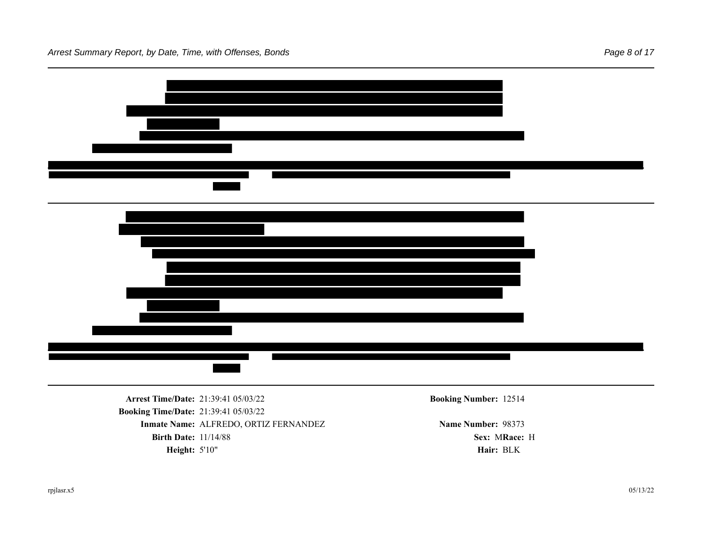

**Arrest Time/Date:** 21:39:41 05/03/22 **Booking Number:** 12514 **Booking Time/Date:** 21:39:41 05/03/22 **Inmate Name: ALFREDO, ORTIZ FERNANDEZ Name Number: 98373 Birth Date:** 11/14/88 **Sex: MRace: H Height:** 5'10" **Hair:** BLK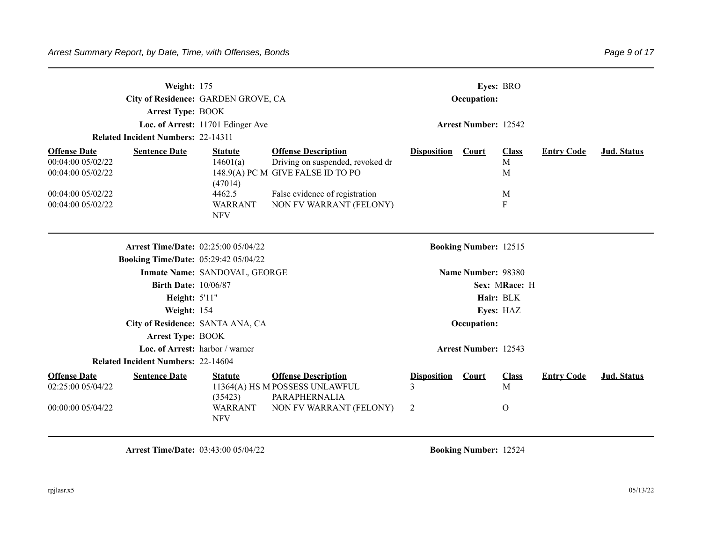| Weight: 175<br><b>Arrest Type: BOOK</b><br><b>Related Incident Numbers: 22-14311</b>                                            | City of Residence: GARDEN GROVE, CA<br>Loc. of Arrest: 11701 Edinger Ave        |                                                                                                                                                                  |                              | Occupation:<br><b>Arrest Number: 12542</b> | Eves: BRO                         |                   |                    |
|---------------------------------------------------------------------------------------------------------------------------------|---------------------------------------------------------------------------------|------------------------------------------------------------------------------------------------------------------------------------------------------------------|------------------------------|--------------------------------------------|-----------------------------------|-------------------|--------------------|
| <b>Sentence Date</b><br><b>Offense Date</b><br>00:04:00 05/02/22<br>00:04:00 05/02/22<br>00:04:00 05/02/22<br>00:04:00 05/02/22 | <b>Statute</b><br>14601(a)<br>(47014)<br>4462.5<br><b>WARRANT</b><br><b>NFV</b> | <b>Offense Description</b><br>Driving on suspended, revoked dr<br>148.9(A) PC M GIVE FALSE ID TO PO<br>False evidence of registration<br>NON FV WARRANT (FELONY) | <b>Disposition</b>           | <b>Court</b>                               | <b>Class</b><br>M<br>M<br>M<br>F  | <b>Entry Code</b> | Jud. Status        |
|                                                                                                                                 | Arrest Time/Date: 02:25:00 05/04/22                                             |                                                                                                                                                                  |                              | <b>Booking Number: 12515</b>               |                                   |                   |                    |
| <b>Booking Time/Date: 05:29:42 05/04/22</b>                                                                                     |                                                                                 |                                                                                                                                                                  |                              |                                            |                                   |                   |                    |
|                                                                                                                                 | Inmate Name: SANDOVAL, GEORGE                                                   |                                                                                                                                                                  |                              | Name Number: 98380                         |                                   |                   |                    |
| <b>Birth Date: 10/06/87</b>                                                                                                     |                                                                                 |                                                                                                                                                                  |                              |                                            | Sex: MRace: H                     |                   |                    |
| <b>Height: 5'11"</b>                                                                                                            |                                                                                 |                                                                                                                                                                  |                              |                                            | Hair: BLK                         |                   |                    |
| Weight: 154                                                                                                                     |                                                                                 |                                                                                                                                                                  |                              |                                            | Eyes: HAZ                         |                   |                    |
|                                                                                                                                 | City of Residence: SANTA ANA, CA                                                |                                                                                                                                                                  |                              | Occupation:                                |                                   |                   |                    |
| <b>Arrest Type: BOOK</b>                                                                                                        |                                                                                 |                                                                                                                                                                  |                              |                                            |                                   |                   |                    |
|                                                                                                                                 | Loc. of Arrest: harbor / warner                                                 |                                                                                                                                                                  |                              | <b>Arrest Number: 12543</b>                |                                   |                   |                    |
| <b>Related Incident Numbers: 22-14604</b>                                                                                       |                                                                                 |                                                                                                                                                                  |                              |                                            |                                   |                   |                    |
| <b>Offense Date</b><br><b>Sentence Date</b><br>02:25:00 05/04/22<br>00:00:00 05/04/22                                           | <b>Statute</b><br>(35423)<br><b>WARRANT</b><br><b>NFV</b>                       | <b>Offense Description</b><br>11364(A) HS M POSSESS UNLAWFUL<br>PARAPHERNALIA<br>NON FV WARRANT (FELONY)                                                         | <b>Disposition</b><br>3<br>2 | Court                                      | <b>Class</b><br>M<br>$\mathbf{O}$ | <b>Entry Code</b> | <b>Jud. Status</b> |

**Arrest Time/Date:** 03:43:00 05/04/22 **Booking Number:** 12524

 $\overline{\phantom{0}}$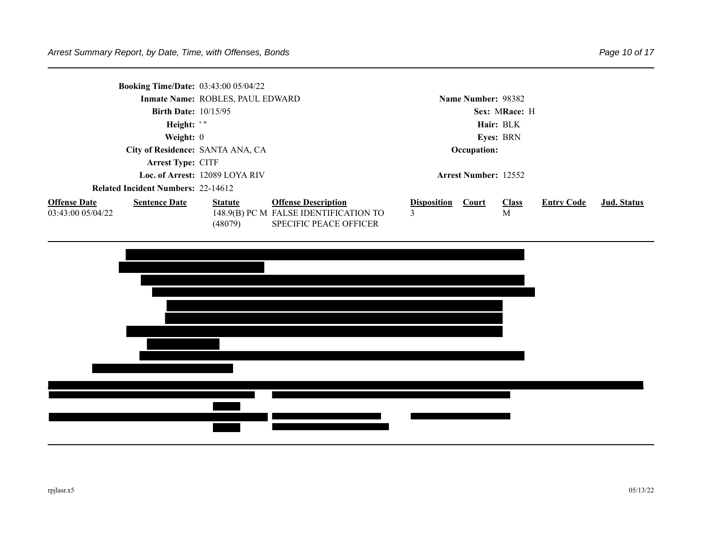|                                           |                               | <b>Booking Time/Date:</b> 03:43:00 05/04/22 |                                       |                             |               |              |                   |             |
|-------------------------------------------|-------------------------------|---------------------------------------------|---------------------------------------|-----------------------------|---------------|--------------|-------------------|-------------|
|                                           |                               | Inmate Name: ROBLES, PAUL EDWARD            |                                       | Name Number: 98382          |               |              |                   |             |
|                                           | <b>Birth Date:</b> $10/15/95$ |                                             |                                       |                             | Sex: MRace: H |              |                   |             |
|                                           | Height: '"                    |                                             |                                       | Hair: BLK                   |               |              |                   |             |
| Weight: $0$                               |                               |                                             | <b>Eves: BRN</b>                      |                             |               |              |                   |             |
| City of Residence: SANTA ANA, CA          |                               |                                             | Occupation:                           |                             |               |              |                   |             |
| <b>Arrest Type: CITF</b>                  |                               |                                             |                                       |                             |               |              |                   |             |
|                                           |                               | Loc. of Arrest: 12089 LOYA RIV              |                                       | <b>Arrest Number: 12552</b> |               |              |                   |             |
| <b>Related Incident Numbers: 22-14612</b> |                               |                                             |                                       |                             |               |              |                   |             |
| <b>Offense Date</b>                       | <b>Sentence Date</b>          | <b>Statute</b>                              | <b>Offense Description</b>            | <b>Disposition</b>          | Court         | <b>Class</b> | <b>Entry Code</b> | Jud. Status |
| 03:43:00 05/04/22                         |                               |                                             | 148.9(B) PC M FALSE IDENTIFICATION TO | 3                           |               | М            |                   |             |
|                                           |                               | (48079)                                     | <b>SPECIFIC PEACE OFFICER</b>         |                             |               |              |                   |             |

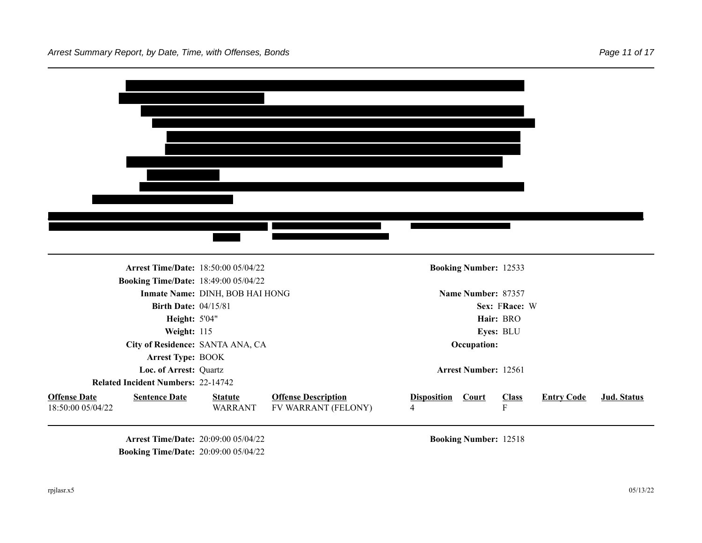

**Arrest Time/Date:** 20:09:00 05/04/22 **Booking Number: 12518 Booking Time/Date:** 20:09:00 05/04/22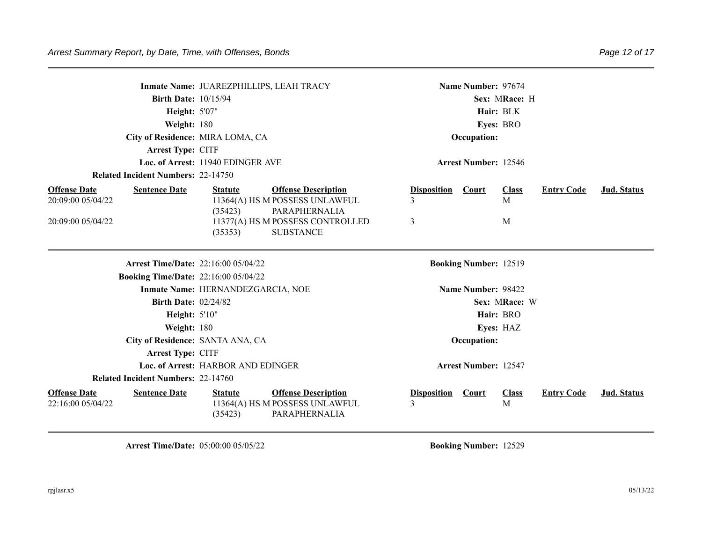| Inmate Name: JUAREZPHILLIPS, LEAH TRACY                          |                                                              | Name Number: 97674                                                                |                    |
|------------------------------------------------------------------|--------------------------------------------------------------|-----------------------------------------------------------------------------------|--------------------|
|                                                                  | <b>Birth Date: 10/15/94</b>                                  | Sex: MRace: H                                                                     |                    |
|                                                                  | <b>Height: 5'07"</b>                                         | Hair: BLK                                                                         |                    |
| Weight: 180                                                      |                                                              | Eyes: BRO                                                                         |                    |
|                                                                  | City of Residence: MIRA LOMA, CA                             | Occupation:                                                                       |                    |
| Arrest Type: CITF                                                |                                                              |                                                                                   |                    |
|                                                                  | Loc. of Arrest: 11940 EDINGER AVE                            | <b>Arrest Number: 12546</b>                                                       |                    |
| <b>Related Incident Numbers: 22-14750</b>                        |                                                              |                                                                                   |                    |
| <b>Offense Date</b><br><b>Sentence Date</b>                      | <b>Offense Description</b><br><b>Statute</b>                 | <b>Disposition</b><br><b>Class</b><br><b>Entry Code</b><br>Court                  | <b>Jud. Status</b> |
| 20:09:00 05/04/22                                                | 11364(A) HS M POSSESS UNLAWFUL                               | 3<br>M                                                                            |                    |
|                                                                  | (35423)<br>PARAPHERNALIA                                     |                                                                                   |                    |
| 20:09:00 05/04/22                                                | 11377(A) HS M POSSESS CONTROLLED                             | 3<br>M                                                                            |                    |
|                                                                  | (35353)<br><b>SUBSTANCE</b>                                  |                                                                                   |                    |
|                                                                  |                                                              |                                                                                   |                    |
|                                                                  | Arrest Time/Date: 22:16:00 05/04/22                          | <b>Booking Number: 12519</b>                                                      |                    |
|                                                                  | <b>Booking Time/Date: 22:16:00 05/04/22</b>                  |                                                                                   |                    |
|                                                                  | Inmate Name: HERNANDEZGARCIA, NOE                            | Name Number: 98422                                                                |                    |
|                                                                  | <b>Birth Date: 02/24/82</b>                                  | Sex: MRace: W                                                                     |                    |
|                                                                  | <b>Height: 5'10"</b>                                         | Hair: BRO                                                                         |                    |
| Weight: 180                                                      |                                                              | Eyes: HAZ                                                                         |                    |
|                                                                  | City of Residence: SANTA ANA, CA                             | Occupation:                                                                       |                    |
| Arrest Type: CITF                                                |                                                              |                                                                                   |                    |
|                                                                  | Loc. of Arrest: HARBOR AND EDINGER                           | <b>Arrest Number: 12547</b>                                                       |                    |
| <b>Related Incident Numbers: 22-14760</b>                        |                                                              |                                                                                   |                    |
|                                                                  |                                                              |                                                                                   |                    |
|                                                                  | <b>Statute</b>                                               |                                                                                   |                    |
| <b>Offense Date</b><br><b>Sentence Date</b><br>22:16:00 05/04/22 | <b>Offense Description</b><br>11364(A) HS M POSSESS UNLAWFUL | <b>Entry Code</b><br><b>Disposition</b><br><b>Court</b><br><b>Class</b><br>3<br>M | Jud. Status        |
|                                                                  | PARAPHERNALIA<br>(35423)                                     |                                                                                   |                    |

**Arrest Time/Date:** 05:00:00 05/05/22 **Booking Number:** 12529

Page 12 of 17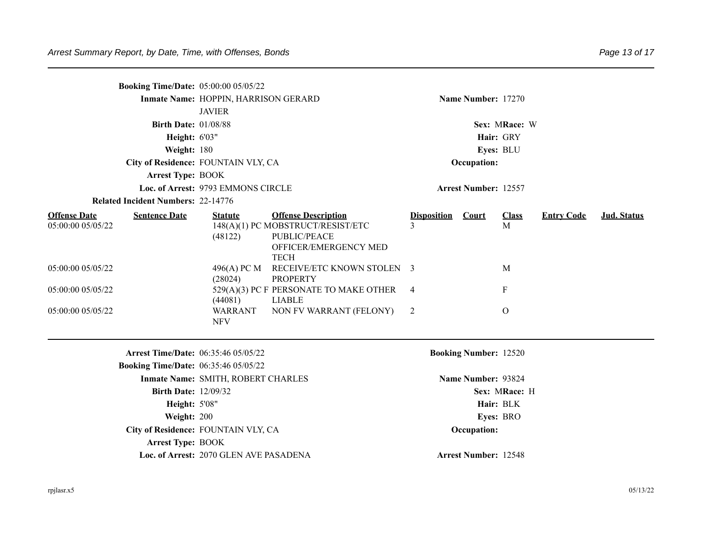| <b>Booking Time/Date: 05:00:00 05/05/22</b>                      |                                            |                                                                                                                         |                         |                              |                   |                   |             |  |  |  |
|------------------------------------------------------------------|--------------------------------------------|-------------------------------------------------------------------------------------------------------------------------|-------------------------|------------------------------|-------------------|-------------------|-------------|--|--|--|
|                                                                  | Inmate Name: HOPPIN, HARRISON GERARD       |                                                                                                                         |                         | Name Number: 17270           |                   |                   |             |  |  |  |
|                                                                  | <b>JAVIER</b>                              |                                                                                                                         |                         |                              |                   |                   |             |  |  |  |
| <b>Birth Date: 01/08/88</b>                                      |                                            |                                                                                                                         | Sex: MRace: W           |                              |                   |                   |             |  |  |  |
| Height: 6'03"                                                    |                                            |                                                                                                                         | Hair: GRY               |                              |                   |                   |             |  |  |  |
| Weight: 180                                                      |                                            |                                                                                                                         |                         |                              | Eyes: BLU         |                   |             |  |  |  |
|                                                                  | City of Residence: FOUNTAIN VLY, CA        |                                                                                                                         |                         | Occupation:                  |                   |                   |             |  |  |  |
| <b>Arrest Type: BOOK</b>                                         |                                            |                                                                                                                         |                         |                              |                   |                   |             |  |  |  |
|                                                                  | Loc. of Arrest: 9793 EMMONS CIRCLE         |                                                                                                                         |                         | <b>Arrest Number: 12557</b>  |                   |                   |             |  |  |  |
| <b>Related Incident Numbers: 22-14776</b>                        |                                            |                                                                                                                         |                         |                              |                   |                   |             |  |  |  |
| <b>Offense Date</b><br><b>Sentence Date</b><br>05:00:00 05/05/22 | <b>Statute</b><br>(48122)                  | <b>Offense Description</b><br>148(A)(1) PC MOBSTRUCT/RESIST/ETC<br>PUBLIC/PEACE<br>OFFICER/EMERGENCY MED<br><b>TECH</b> | <b>Disposition</b><br>3 | <b>Court</b>                 | <b>Class</b><br>M | <b>Entry Code</b> | Jud. Status |  |  |  |
| 05:00:00 05/05/22                                                | 496(A) PC M<br>(28024)                     | RECEIVE/ETC KNOWN STOLEN 3<br><b>PROPERTY</b>                                                                           |                         |                              | M                 |                   |             |  |  |  |
| 05:00:00 05/05/22                                                | (44081)                                    | 529(A)(3) PC F PERSONATE TO MAKE OTHER<br><b>LIABLE</b>                                                                 | $\overline{4}$          |                              | $\mathbf F$       |                   |             |  |  |  |
| 05:00:00 05/05/22                                                | <b>WARRANT</b><br><b>NFV</b>               | NON FV WARRANT (FELONY)                                                                                                 | $\overline{2}$          |                              | $\mathbf{O}$      |                   |             |  |  |  |
|                                                                  | <b>Arrest Time/Date: 06:35:46 05/05/22</b> |                                                                                                                         |                         | <b>Booking Number: 12520</b> |                   |                   |             |  |  |  |
| <b>Booking Time/Date: 06:35:46 05/05/22</b>                      |                                            |                                                                                                                         |                         |                              |                   |                   |             |  |  |  |
|                                                                  | Inmate Name: SMITH, ROBERT CHARLES         |                                                                                                                         |                         | Name Number: 93824           |                   |                   |             |  |  |  |
| <b>Birth Date: 12/09/32</b>                                      |                                            |                                                                                                                         |                         |                              | Sex: MRace: H     |                   |             |  |  |  |
| <b>Height: 5'08"</b>                                             |                                            |                                                                                                                         |                         |                              | Hair: BLK         |                   |             |  |  |  |
| Weight: 200                                                      |                                            |                                                                                                                         | Eyes: BRO               |                              |                   |                   |             |  |  |  |
|                                                                  | City of Residence: FOUNTAIN VLY, CA        |                                                                                                                         | Occupation:             |                              |                   |                   |             |  |  |  |
| <b>Arrest Type: BOOK</b>                                         |                                            |                                                                                                                         |                         |                              |                   |                   |             |  |  |  |
|                                                                  | Loc. of Arrest: 2070 GLEN AVE PASADENA     |                                                                                                                         |                         | <b>Arrest Number: 12548</b>  |                   |                   |             |  |  |  |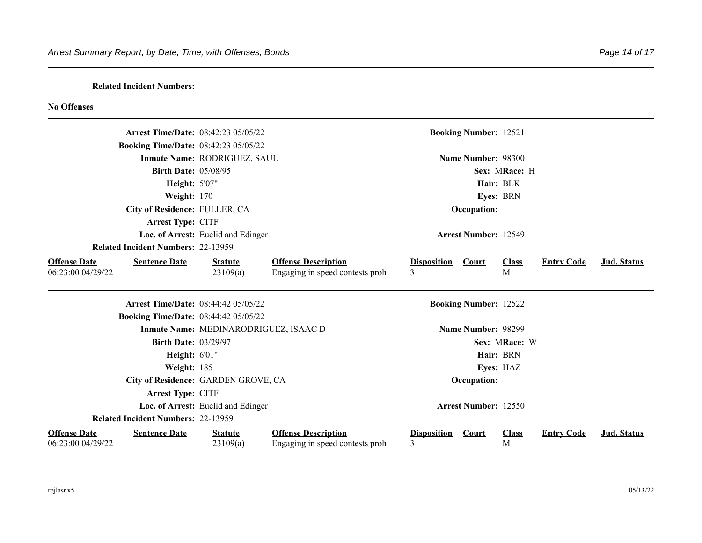## **Related Incident Numbers:**

## **No Offenses**

|                                                                  | <b>Arrest Time/Date: 08:42:23 05/05/22</b>  |                                                               |                                      | <b>Booking Number: 12521</b> |                   |                   |                    |
|------------------------------------------------------------------|---------------------------------------------|---------------------------------------------------------------|--------------------------------------|------------------------------|-------------------|-------------------|--------------------|
|                                                                  | <b>Booking Time/Date: 08:42:23 05/05/22</b> |                                                               |                                      |                              |                   |                   |                    |
|                                                                  | Inmate Name: RODRIGUEZ, SAUL                |                                                               |                                      | Name Number: 98300           |                   |                   |                    |
|                                                                  | <b>Birth Date: 05/08/95</b>                 |                                                               |                                      |                              | Sex: MRace: H     |                   |                    |
|                                                                  | <b>Height: 5'07"</b>                        |                                                               |                                      |                              | Hair: BLK         |                   |                    |
|                                                                  | Weight: 170                                 |                                                               |                                      |                              | <b>Eyes: BRN</b>  |                   |                    |
|                                                                  | City of Residence: FULLER, CA               |                                                               |                                      | Occupation:                  |                   |                   |                    |
| Arrest Type: CITF                                                |                                             |                                                               |                                      |                              |                   |                   |                    |
|                                                                  | Loc. of Arrest: Euclid and Edinger          |                                                               |                                      | <b>Arrest Number: 12549</b>  |                   |                   |                    |
| <b>Related Incident Numbers: 22-13959</b>                        |                                             |                                                               |                                      |                              |                   |                   |                    |
| <b>Offense Date</b><br><b>Sentence Date</b><br>06:23:00 04/29/22 | <b>Statute</b><br>23109(a)                  | <b>Offense Description</b><br>Engaging in speed contests proh | <b>Disposition</b><br>$\overline{3}$ | Court                        | <b>Class</b><br>M | <b>Entry Code</b> | <b>Jud.</b> Status |
|                                                                  | <b>Arrest Time/Date: 08:44:42 05/05/22</b>  |                                                               |                                      | <b>Booking Number: 12522</b> |                   |                   |                    |
|                                                                  | <b>Booking Time/Date: 08:44:42 05/05/22</b> |                                                               |                                      |                              |                   |                   |                    |
|                                                                  | Inmate Name: MEDINARODRIGUEZ, ISAAC D       |                                                               |                                      | Name Number: 98299           |                   |                   |                    |
|                                                                  | <b>Birth Date: 03/29/97</b>                 |                                                               |                                      |                              | Sex: MRace: W     |                   |                    |
|                                                                  | <b>Height: 6'01"</b>                        |                                                               |                                      |                              | Hair: BRN         |                   |                    |
|                                                                  | Weight: 185                                 |                                                               |                                      |                              | Eyes: HAZ         |                   |                    |
|                                                                  | City of Residence: GARDEN GROVE, CA         |                                                               |                                      | Occupation:                  |                   |                   |                    |
| Arrest Type: CITF                                                |                                             |                                                               |                                      |                              |                   |                   |                    |
|                                                                  | Loc. of Arrest: Euclid and Edinger          |                                                               |                                      | <b>Arrest Number: 12550</b>  |                   |                   |                    |
| <b>Related Incident Numbers: 22-13959</b>                        |                                             |                                                               |                                      |                              |                   |                   |                    |
| <b>Offense Date</b><br><b>Sentence Date</b><br>06:23:00 04/29/22 | <b>Statute</b><br>23109(a)                  | <b>Offense Description</b><br>Engaging in speed contests proh | <b>Disposition</b><br>3              | Court                        | <b>Class</b><br>M | <b>Entry Code</b> | <b>Jud.</b> Status |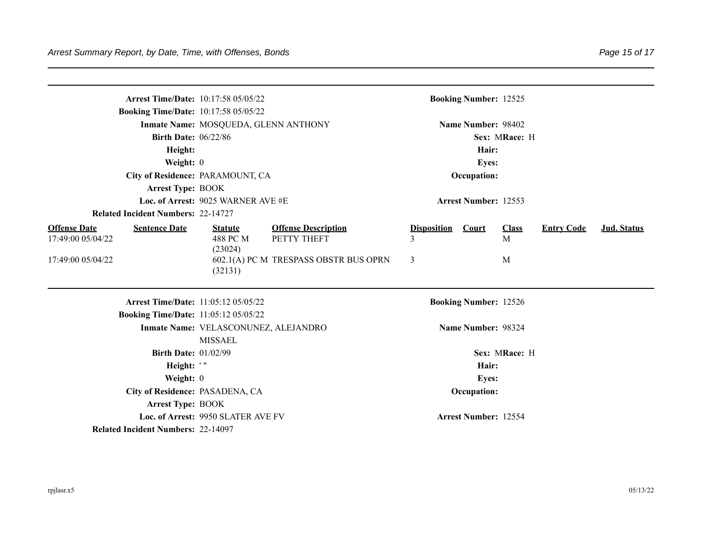| <b>Arrest Time/Date: 10:17:58 05/05/22</b>                       |                                                        |                                           | <b>Booking Number: 12525</b> |                    |                   |                   |             |  |  |
|------------------------------------------------------------------|--------------------------------------------------------|-------------------------------------------|------------------------------|--------------------|-------------------|-------------------|-------------|--|--|
| <b>Booking Time/Date: 10:17:58 05/05/22</b>                      |                                                        |                                           |                              |                    |                   |                   |             |  |  |
| Inmate Name: MOSQUEDA, GLENN ANTHONY                             |                                                        |                                           | Name Number: 98402           |                    |                   |                   |             |  |  |
| <b>Birth Date: 06/22/86</b>                                      |                                                        |                                           | Sex: MRace: H                |                    |                   |                   |             |  |  |
| Height:                                                          |                                                        |                                           | Hair:                        |                    |                   |                   |             |  |  |
| Weight: 0                                                        |                                                        |                                           | Eyes:                        |                    |                   |                   |             |  |  |
| City of Residence: PARAMOUNT, CA                                 |                                                        |                                           | Occupation:                  |                    |                   |                   |             |  |  |
| <b>Arrest Type: BOOK</b>                                         |                                                        |                                           |                              |                    |                   |                   |             |  |  |
| Loc. of Arrest: 9025 WARNER AVE #E                               |                                                        |                                           | <b>Arrest Number: 12553</b>  |                    |                   |                   |             |  |  |
| <b>Related Incident Numbers: 22-14727</b>                        |                                                        |                                           |                              |                    |                   |                   |             |  |  |
| <b>Offense Date</b><br><b>Sentence Date</b><br>17:49:00 05/04/22 | <b>Statute</b><br>488 PC M                             | <b>Offense Description</b><br>PETTY THEFT | <b>Disposition</b><br>3      | Court              | <b>Class</b><br>M | <b>Entry Code</b> | Jud. Status |  |  |
| 17:49:00 05/04/22                                                | (23024)<br>(32131)                                     | 602.1(A) PC M TRESPASS OBSTR BUS OPRN     | 3                            |                    | M                 |                   |             |  |  |
| <b>Arrest Time/Date: 11:05:12 05/05/22</b>                       |                                                        | <b>Booking Number: 12526</b>              |                              |                    |                   |                   |             |  |  |
| <b>Booking Time/Date: 11:05:12 05/05/22</b>                      |                                                        |                                           |                              |                    |                   |                   |             |  |  |
|                                                                  | Inmate Name: VELASCONUNEZ, ALEJANDRO<br><b>MISSAEL</b> |                                           |                              | Name Number: 98324 |                   |                   |             |  |  |
| <b>Birth Date: 01/02/99</b>                                      |                                                        |                                           | Sex: MRace: H                |                    |                   |                   |             |  |  |
| Height: '"                                                       |                                                        |                                           | Hair:                        |                    |                   |                   |             |  |  |
| Weight: 0                                                        |                                                        |                                           | <b>Eyes:</b>                 |                    |                   |                   |             |  |  |
| City of Residence: PASADENA, CA                                  |                                                        |                                           | Occupation:                  |                    |                   |                   |             |  |  |
| <b>Arrest Type: BOOK</b>                                         |                                                        |                                           |                              |                    |                   |                   |             |  |  |
| Loc. of Arrest: 9950 SLATER AVE FV                               |                                                        |                                           | <b>Arrest Number: 12554</b>  |                    |                   |                   |             |  |  |
| <b>Related Incident Numbers: 22-14097</b>                        |                                                        |                                           |                              |                    |                   |                   |             |  |  |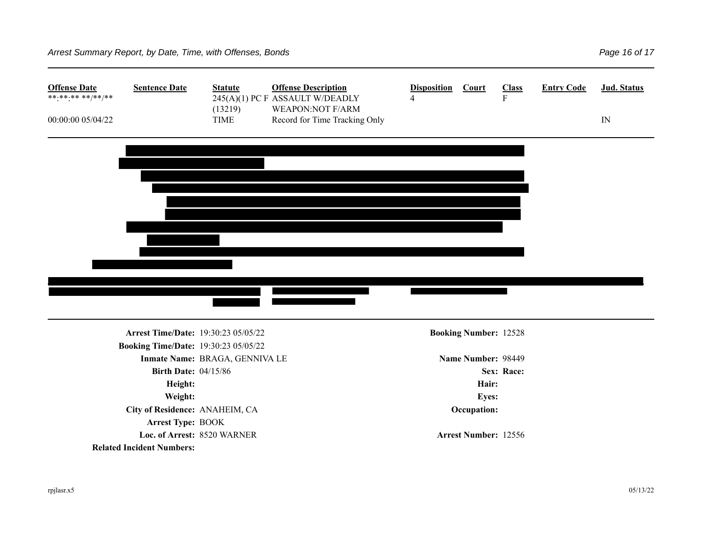| <b>Offense Date</b><br>**.**.** **/**/** | <b>Sentence Date</b>                        | <b>Statute</b>                 | <b>Offense Description</b><br>245(A)(1) PC F ASSAULT W/DEADLY | <b>Disposition</b><br>4 | Court                        | <b>Class</b><br>${\bf F}$ | <b>Entry Code</b> | Jud. Status |
|------------------------------------------|---------------------------------------------|--------------------------------|---------------------------------------------------------------|-------------------------|------------------------------|---------------------------|-------------------|-------------|
| 00:00:00 05/04/22                        |                                             | (13219)<br><b>TIME</b>         | <b>WEAPON:NOT F/ARM</b><br>Record for Time Tracking Only      |                         |                              |                           |                   | IN          |
|                                          |                                             |                                |                                                               |                         |                              |                           |                   |             |
|                                          |                                             |                                |                                                               |                         |                              |                           |                   |             |
|                                          |                                             |                                |                                                               |                         |                              |                           |                   |             |
|                                          |                                             |                                |                                                               |                         |                              |                           |                   |             |
|                                          |                                             |                                |                                                               |                         |                              |                           |                   |             |
|                                          |                                             |                                |                                                               |                         |                              |                           |                   |             |
|                                          |                                             |                                |                                                               |                         |                              |                           |                   |             |
|                                          |                                             |                                |                                                               |                         |                              |                           |                   |             |
|                                          |                                             |                                |                                                               |                         |                              |                           |                   |             |
|                                          |                                             |                                |                                                               |                         |                              |                           |                   |             |
|                                          |                                             |                                |                                                               |                         |                              |                           |                   |             |
|                                          | Arrest Time/Date: 19:30:23 05/05/22         |                                |                                                               |                         | <b>Booking Number: 12528</b> |                           |                   |             |
|                                          | <b>Booking Time/Date: 19:30:23 05/05/22</b> |                                |                                                               |                         |                              |                           |                   |             |
|                                          |                                             | Inmate Name: BRAGA, GENNIVA LE |                                                               |                         | Name Number: 98449           |                           |                   |             |
|                                          | <b>Birth Date: 04/15/86</b>                 |                                |                                                               |                         |                              | Sex: Race:                |                   |             |
|                                          | Height:                                     |                                |                                                               |                         | Hair:                        |                           |                   |             |
|                                          | Weight:                                     |                                |                                                               |                         | Eyes:                        |                           |                   |             |
|                                          | City of Residence: ANAHEIM, CA              |                                |                                                               |                         | Occupation:                  |                           |                   |             |
|                                          | Arrest Type: BOOK                           |                                |                                                               |                         |                              |                           |                   |             |
|                                          | Loc. of Arrest: 8520 WARNER                 |                                |                                                               |                         | Arrest Number: 12556         |                           |                   |             |
|                                          | <b>Related Incident Numbers:</b>            |                                |                                                               |                         |                              |                           |                   |             |
|                                          |                                             |                                |                                                               |                         |                              |                           |                   |             |